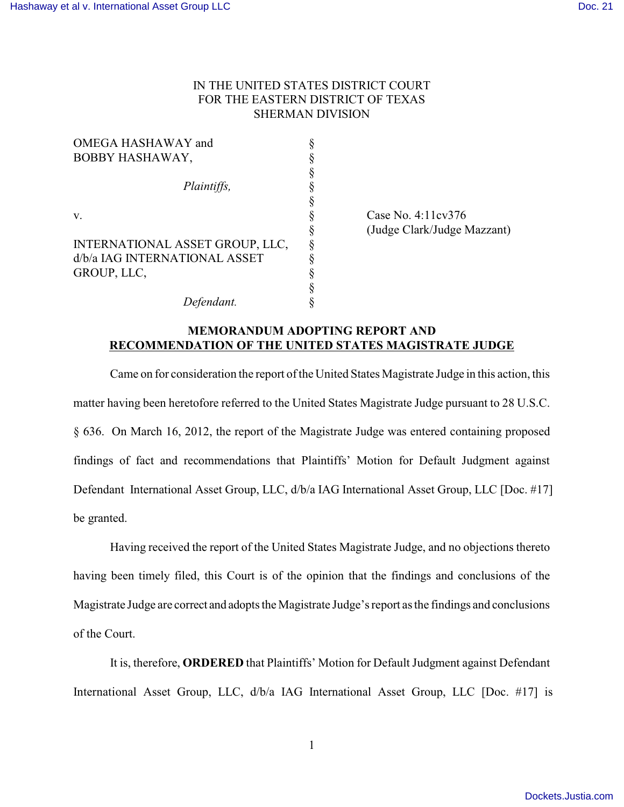## IN THE UNITED STATES DISTRICT COURT FOR THE EASTERN DISTRICT OF TEXAS SHERMAN DIVISION

| OMEGA HASHAWAY and              |  |
|---------------------------------|--|
| BOBBY HASHAWAY,                 |  |
|                                 |  |
| Plaintiffs,                     |  |
|                                 |  |
| v.                              |  |
|                                 |  |
| INTERNATIONAL ASSET GROUP, LLC, |  |
| d/b/a IAG INTERNATIONAL ASSET   |  |
| GROUP, LLC,                     |  |
|                                 |  |
| Defendant.                      |  |

Case No. 4:11cv376 § (Judge Clark/Judge Mazzant)

## **MEMORANDUM ADOPTING REPORT AND RECOMMENDATION OF THE UNITED STATES MAGISTRATE JUDGE**

Came on for consideration the report of the United States Magistrate Judge in this action, this matter having been heretofore referred to the United States Magistrate Judge pursuant to 28 U.S.C. § 636. On March 16, 2012, the report of the Magistrate Judge was entered containing proposed findings of fact and recommendations that Plaintiffs' Motion for Default Judgment against Defendant International Asset Group, LLC, d/b/a IAG International Asset Group, LLC [Doc. #17] be granted.

Having received the report of the United States Magistrate Judge, and no objections thereto having been timely filed, this Court is of the opinion that the findings and conclusions of the Magistrate Judge are correct and adopts the Magistrate Judge's report as the findings and conclusions of the Court.

It is, therefore, **ORDERED** that Plaintiffs' Motion for Default Judgment against Defendant International Asset Group, LLC, d/b/a IAG International Asset Group, LLC [Doc. #17] is